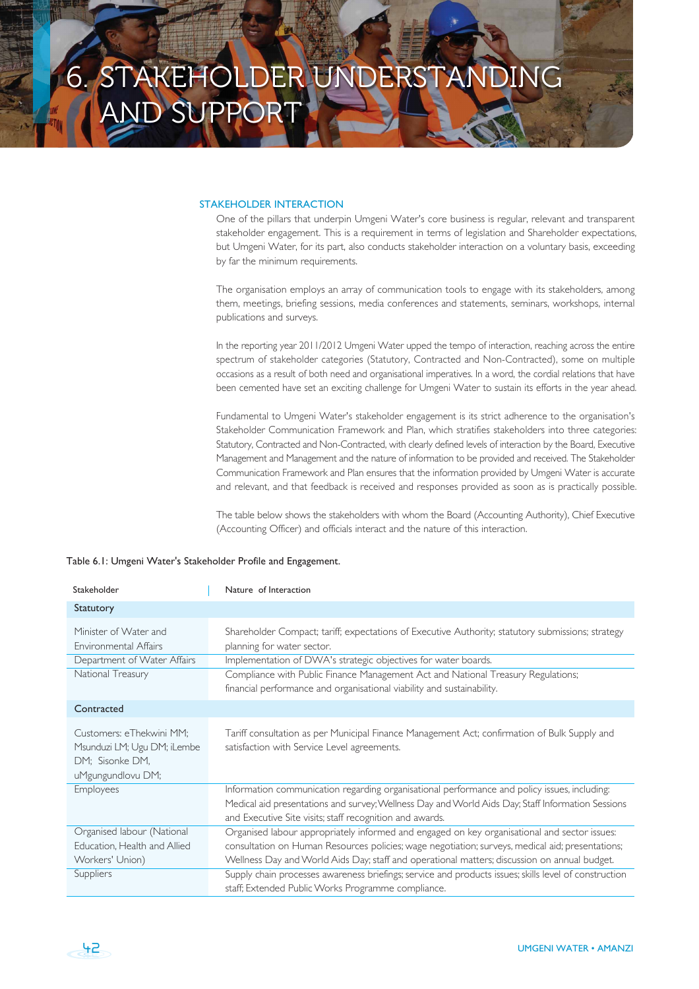## STAKEHOLDER INTERACTION

One of the pillars that underpin Umgeni Water's core business is regular, relevant and transparent stakeholder engagement. This is a requirement in terms of legislation and Shareholder expectations, but Umgeni Water, for its part, also conducts stakeholder interaction on a voluntary basis, exceeding by far the minimum requirements.

The organisation employs an array of communication tools to engage with its stakeholders, among them, meetings, briefing sessions, media conferences and statements, seminars, workshops, internal publications and surveys.

In the reporting year 2011/2012 Umgeni Water upped the tempo of interaction, reaching across the entire spectrum of stakeholder categories (Statutory, Contracted and Non-Contracted), some on multiple occasions as a result of both need and organisational imperatives. In a word, the cordial relations that have been cemented have set an exciting challenge for Umgeni Water to sustain its efforts in the year ahead.

Fundamental to Umgeni Water's stakeholder engagement is its strict adherence to the organisation's Stakeholder Communication Framework and Plan, which stratifies stakeholders into three categories: Statutory, Contracted and Non-Contracted, with clearly defined levels of interaction by the Board, Executive Management and Management and the nature of information to be provided and received. The Stakeholder Communication Framework and Plan ensures that the information provided by Umgeni Water is accurate and relevant, and that feedback is received and responses provided as soon as is practically possible.

The table below shows the stakeholders with whom the Board (Accounting Authority), Chief Executive (Accounting Officer) and officials interact and the nature of this interaction.

| Stakeholder                                                                                     | Nature of Interaction                                                                                                                                                                                                                                                                            |
|-------------------------------------------------------------------------------------------------|--------------------------------------------------------------------------------------------------------------------------------------------------------------------------------------------------------------------------------------------------------------------------------------------------|
| Statutory                                                                                       |                                                                                                                                                                                                                                                                                                  |
| Minister of Water and<br>Environmental Affairs                                                  | Shareholder Compact; tariff; expectations of Executive Authority; statutory submissions; strategy<br>planning for water sector.                                                                                                                                                                  |
| Department of Water Affairs                                                                     | Implementation of DWA's strategic objectives for water boards.                                                                                                                                                                                                                                   |
| National Treasury                                                                               | Compliance with Public Finance Management Act and National Treasury Regulations;<br>financial performance and organisational viability and sustainability.                                                                                                                                       |
| Contracted                                                                                      |                                                                                                                                                                                                                                                                                                  |
| Customers: eThekwini MM;<br>Msunduzi LM; Ugu DM; iLembe<br>DM; Sisonke DM,<br>uMgungundlovu DM; | Tariff consultation as per Municipal Finance Management Act; confirmation of Bulk Supply and<br>satisfaction with Service Level agreements.                                                                                                                                                      |
| Employees                                                                                       | Information communication regarding organisational performance and policy issues, including:<br>Medical aid presentations and survey; Wellness Day and World Aids Day; Staff Information Sessions<br>and Executive Site visits; staff recognition and awards.                                    |
| Organised labour (National<br>Education, Health and Allied<br>Workers' Union)                   | Organised labour appropriately informed and engaged on key organisational and sector issues:<br>consultation on Human Resources policies; wage negotiation; surveys, medical aid; presentations;<br>Wellness Day and World Aids Day; staff and operational matters; discussion on annual budget. |
| Suppliers                                                                                       | Supply chain processes awareness briefings; service and products issues; skills level of construction<br>staff; Extended Public Works Programme compliance.                                                                                                                                      |

42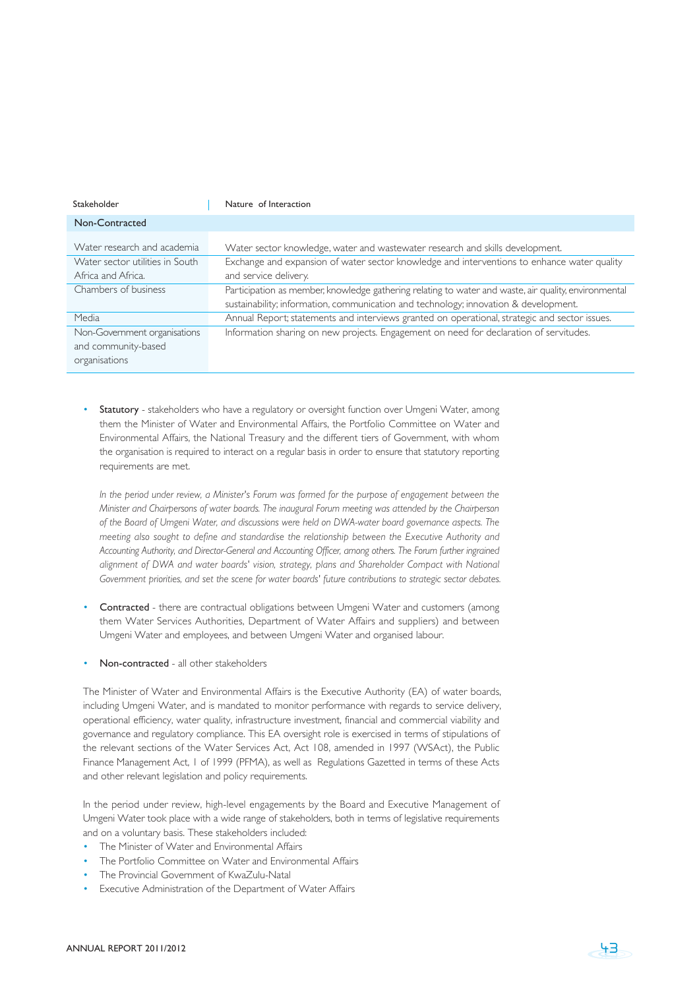| Stakeholder                     | Nature of Interaction                                                                                |
|---------------------------------|------------------------------------------------------------------------------------------------------|
| Non-Contracted                  |                                                                                                      |
| Water research and academia     | Water sector knowledge, water and wastewater research and skills development.                        |
| Water sector utilities in South | Exchange and expansion of water sector knowledge and interventions to enhance water quality          |
| Africa and Africa.              | and service delivery.                                                                                |
| Chambers of business            | Participation as member, knowledge gathering relating to water and waste, air quality, environmental |
|                                 | sustainability; information, communication and technology; innovation & development.                 |
| Media                           | Annual Report; statements and interviews granted on operational, strategic and sector issues.        |
| Non-Government organisations    | Information sharing on new projects. Engagement on need for declaration of servitudes.               |
| and community-based             |                                                                                                      |
| organisations                   |                                                                                                      |

Statutory - stakeholders who have a regulatory or oversight function over Umgeni Water, among them the Minister of Water and Environmental Affairs, the Portfolio Committee on Water and Environmental Affairs, the National Treasury and the different tiers of Government, with whom the organisation is required to interact on a regular basis in order to ensure that statutory reporting requirements are met.

*In the period under review, a Minister's Forum was formed for the purpose of engagement between the Minister and Chairpersons of water boards. The inaugural Forum meeting was attended by the Chairperson of the Board of Umgeni Water, and discussions were held on DWA-water board governance aspects. The meeting also sought to define and standardise the relationship between the Executive Authority and Accounting Authority, and Director-General and Accounting Officer, among others. The Forum further ingrained alignment of DWA and water boards' vision, strategy, plans and Shareholder Compact with National Government priorities, and set the scene for water boards' future contributions to strategic sector debates.*

- Contracted there are contractual obligations between Umgeni Water and customers (among them Water Services Authorities, Department of Water Affairs and suppliers) and between Umgeni Water and employees, and between Umgeni Water and organised labour.
- Non-contracted all other stakeholders

The Minister of Water and Environmental Affairs is the Executive Authority (EA) of water boards, including Umgeni Water, and is mandated to monitor performance with regards to service delivery, operational efficiency, water quality, infrastructure investment, financial and commercial viability and governance and regulatory compliance. This EA oversight role is exercised in terms of stipulations of the relevant sections of the Water Services Act, Act 108, amended in 1997 (WSAct), the Public Finance Management Act, 1 of 1999 (PFMA), as well as Regulations Gazetted in terms of these Acts and other relevant legislation and policy requirements.

In the period under review, high-level engagements by the Board and Executive Management of Umgeni Water took place with a wide range of stakeholders, both in terms of legislative requirements and on a voluntary basis. These stakeholders included:

- The Minister of Water and Environmental Affairs
- The Portfolio Committee on Water and Environmental Affairs
- The Provincial Government of KwaZulu-Natal
- Executive Administration of the Department of Water Affairs

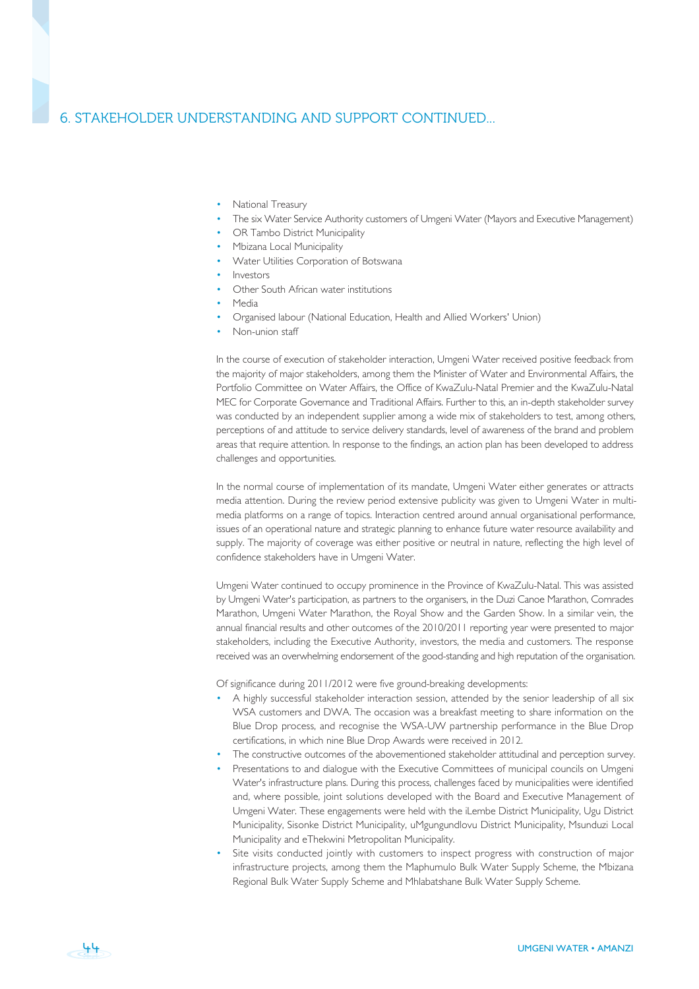## 6. STAKEHOLDER UNDERSTANDING AND SUPPORT CONTINUED...

- National Treasury
- The six Water Service Authority customers of Umgeni Water (Mayors and Executive Management)
- OR Tambo District Municipality
- Mbizana Local Municipality
- Water Utilities Corporation of Botswana
- Investors
- Other South African water institutions
- Media
- Organised labour (National Education, Health and Allied Workers' Union)
- Non-union staff

In the course of execution of stakeholder interaction, Umgeni Water received positive feedback from the majority of major stakeholders, among them the Minister of Water and Environmental Affairs, the Portfolio Committee on Water Affairs, the Office of KwaZulu-Natal Premier and the KwaZulu-Natal MEC for Corporate Governance and Traditional Affairs. Further to this, an in-depth stakeholder survey was conducted by an independent supplier among a wide mix of stakeholders to test, among others, perceptions of and attitude to service delivery standards, level of awareness of the brand and problem areas that require attention. In response to the findings, an action plan has been developed to address challenges and opportunities.

In the normal course of implementation of its mandate, Umgeni Water either generates or attracts media attention. During the review period extensive publicity was given to Umgeni Water in multimedia platforms on a range of topics. Interaction centred around annual organisational performance, issues of an operational nature and strategic planning to enhance future water resource availability and supply. The majority of coverage was either positive or neutral in nature, reflecting the high level of confidence stakeholders have in Umgeni Water.

Umgeni Water continued to occupy prominence in the Province of KwaZulu-Natal. This was assisted by Umgeni Water's participation, as partners to the organisers, in the Duzi Canoe Marathon, Comrades Marathon, Umgeni Water Marathon, the Royal Show and the Garden Show. In a similar vein, the annual financial results and other outcomes of the 2010/2011 reporting year were presented to major stakeholders, including the Executive Authority, investors, the media and customers. The response received was an overwhelming endorsement of the good-standing and high reputation of the organisation.

Of significance during 2011/2012 were five ground-breaking developments:

- A highly successful stakeholder interaction session, attended by the senior leadership of all six WSA customers and DWA. The occasion was a breakfast meeting to share information on the Blue Drop process, and recognise the WSA-UW partnership performance in the Blue Drop certifications, in which nine Blue Drop Awards were received in 2012.
- The constructive outcomes of the abovementioned stakeholder attitudinal and perception survey.
- Presentations to and dialogue with the Executive Committees of municipal councils on Umgeni Water's infrastructure plans. During this process, challenges faced by municipalities were identified and, where possible, joint solutions developed with the Board and Executive Management of Umgeni Water. These engagements were held with the iLembe District Municipality, Ugu District Municipality, Sisonke District Municipality, uMgungundlovu District Municipality, Msunduzi Local Municipality and eThekwini Metropolitan Municipality.
- Site visits conducted jointly with customers to inspect progress with construction of major infrastructure projects, among them the Maphumulo Bulk Water Supply Scheme, the Mbizana Regional Bulk Water Supply Scheme and Mhlabatshane Bulk Water Supply Scheme.